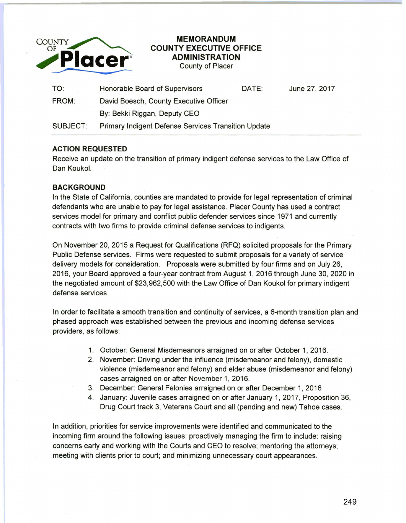

## **COUNTY EXECUTIVE OFFICE ADMINISTRATION**

County of Placer

| TO:          | Honorable Board of Supervisors                      | DATE: | June 27, 2017 |
|--------------|-----------------------------------------------------|-------|---------------|
| <b>FROM:</b> | David Boesch, County Executive Officer              |       |               |
|              | By: Bekki Riggan, Deputy CEO                        |       |               |
| SUBJECT:     | Primary Indigent Defense Services Transition Update |       |               |

## **ACTION REQUESTED**

Receive an update on the transition of primary indigent defense services to the Law Office of Dan Koukol.

## **BACKGROUND**

In the State of California, counties are mandated to provide for legal representation of criminal defendants who are unable to pay for legal assistance. Placer County has used a contract services model for primary and conflict public defender services since 1971 and currently contracts with two firms to provide criminal defense services to indigents.

On November 20, 2015 a Request for Qualifications (RFQ) solicited proposals for the Primary Public Defense services. Firms were requested to submit proposals for a variety of service delivery models for consideration. Proposals were submitted by four firms and on July 26, 2016, your Board approved a four-year contract from August 1, 2016 through June 30, 2020 in the negotiated amount of \$23,962,500 with the Law Office of Dan Koukol for primary indigent defense services

In order to facilitate a smooth transition and continuity of services, a 6-month transition plan and phased approach was established between the previous and incoming defense services providers, as follows:

- 1. October: General Misdemeanors arraigned on or after October 1, 2016.
- 2. November: Driving under the influence (misdemeanor and felony), domestic violence (misdemeanor and felony) and elder abuse (misdemeanor and felony) cases arraigned on or after November 1, 2016.
- 3. December: General Felonies arraigned on or after December 1, 2016
- 4. January: Juvenile cases arraigned on or after January 1, 2017, Proposition 36, Drug Court track 3, Veterans Court and all (pending and new) Tahoe cases.

In addition, priorities for service improvements were identified and communicated to the incoming firm around the following issues: proactively managing the firm to include: raising concerns early and working with the Courts and CEO to resolve; mentoring the attorneys; meeting with clients prior to court; and minimizing unnecessary court appearances.